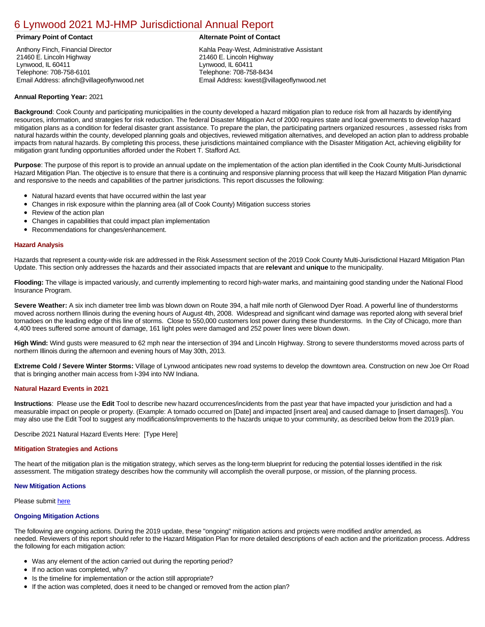# [6 Lynwood 2021 MJ-HMP Jurisdictional Annual Report](https://lynwood.isc-cemp.com/Cemp/Details?id=8322847)

Anthony Finch, Financial Director 21460 E. Lincoln Highway Lynwood, IL 60411 Telephone: 708-758-6101 Email Address: afinch@villageoflynwood.net

# **Primary Point of Contact Alternate Point of Contact**

Kahla Peay-West, Administrative Assistant 21460 E. Lincoln Highway Lynwood, IL 60411 Telephone: 708-758-8434 Email Address: kwest@villageoflynwood.net

## **Annual Reporting Year:** 2021

**Background**: Cook County and participating municipalities in the county developed a hazard mitigation plan to reduce risk from all hazards by identifying resources, information, and strategies for risk reduction. The federal Disaster Mitigation Act of 2000 requires state and local governments to develop hazard mitigation plans as a condition for federal disaster grant assistance. To prepare the plan, the participating partners organized resources , assessed risks from natural hazards within the county, developed planning goals and objectives, reviewed mitigation alternatives, and developed an action plan to address probable impacts from natural hazards. By completing this process, these jurisdictions maintained compliance with the Disaster Mitigation Act, achieving eligibility for mitigation grant funding opportunities afforded under the Robert T. Stafford Act.

**Purpose**: The purpose of this report is to provide an annual update on the implementation of the action plan identified in the Cook County Multi-Jurisdictional Hazard Mitigation Plan. The objective is to ensure that there is a continuing and responsive planning process that will keep the Hazard Mitigation Plan dynamic and responsive to the needs and capabilities of the partner jurisdictions. This report discusses the following:

- Natural hazard events that have occurred within the last year
- $\bullet$ Changes in risk exposure within the planning area (all of Cook County) Mitigation success stories
- Review of the action plan  $\bullet$
- $\bullet$ Changes in capabilities that could impact plan implementation
- Recommendations for changes/enhancement.  $\bullet$

### **Hazard Analysis**

Hazards that represent a county-wide risk are addressed in the Risk Assessment section of the 2019 Cook County Multi-Jurisdictional Hazard Mitigation Plan Update. This section only addresses the hazards and their associated impacts that are **relevant** and **unique** to the municipality.

**Flooding:** The village is impacted variously, and currently implementing to record high-water marks, and maintaining good standing under the National Flood Insurance Program.

**Severe Weather:** A six inch diameter tree limb was blown down on Route 394, a half mile north of Glenwood Dyer Road. A powerful line of thunderstorms moved across northern Illinois during the evening hours of August 4th, 2008. Widespread and significant wind damage was reported along with several brief tornadoes on the leading edge of this line of storms. Close to 550,000 customers lost power during these thunderstorms. In the City of Chicago, more than 4,400 trees suffered some amount of damage, 161 light poles were damaged and 252 power lines were blown down.

**High Wind:** Wind gusts were measured to 62 mph near the intersection of 394 and Lincoln Highway. Strong to severe thunderstorms moved across parts of northern Illinois during the afternoon and evening hours of May 30th, 2013.

**Extreme Cold / Severe Winter Storms:** Village of Lynwood anticipates new road systems to develop the downtown area. Construction on new Joe Orr Road that is bringing another main access from I-394 into NW Indiana.

### **Natural Hazard Events in 2021**

**Instructions**: Please use the **Edit** Tool to describe new hazard occurrences/incidents from the past year that have impacted your jurisdiction and had a measurable impact on people or property. (Example: A tornado occurred on [Date] and impacted [insert area] and caused damage to [insert damages]). You may also use the Edit Tool to suggest any modifications/improvements to the hazards unique to your community, as described below from the 2019 plan.

Describe 2021 Natural Hazard Events Here: [Type Here]

### **Mitigation Strategies and Actions**

The heart of the mitigation plan is the mitigation strategy, which serves as the long-term blueprint for reducing the potential losses identified in the risk assessment. The mitigation strategy describes how the community will accomplish the overall purpose, or mission, of the planning process.

### **New Mitigation Actions**

Please submit [here](https://integratedsolutions.wufoo.com/forms/mg21jvf0jn639o/)

### **Ongoing Mitigation Actions**

The following are ongoing actions. During the 2019 update, these "ongoing" mitigation actions and projects were modified and/or amended, as needed. Reviewers of this report should refer to the Hazard Mitigation Plan for more detailed descriptions of each action and the prioritization process. Address the following for each mitigation action:

- Was any element of the action carried out during the reporting period?
- If no action was completed, why?
- Is the timeline for implementation or the action still appropriate?
- If the action was completed, does it need to be changed or removed from the action plan?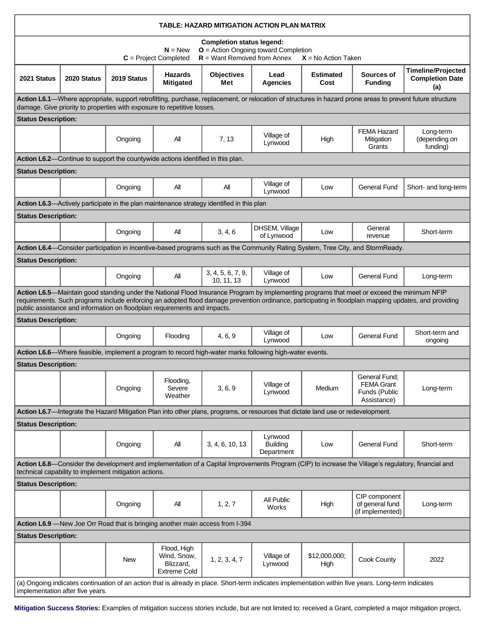| TABLE: HAZARD MITIGATION ACTION PLAN MATRIX                                                                                                                                                                                                                                                                                                                                        |             |             |                                                                |                                                                                                         |                                          |                          |                                                                                                                                |                                                            |
|------------------------------------------------------------------------------------------------------------------------------------------------------------------------------------------------------------------------------------------------------------------------------------------------------------------------------------------------------------------------------------|-------------|-------------|----------------------------------------------------------------|---------------------------------------------------------------------------------------------------------|------------------------------------------|--------------------------|--------------------------------------------------------------------------------------------------------------------------------|------------------------------------------------------------|
| <b>Completion status legend:</b><br>$O =$ Action Ongoing toward Completion<br>$N = New$<br>$R =$ Want Removed from Annex<br>$C = Project Completed$<br>$X = No$ Action Taken                                                                                                                                                                                                       |             |             |                                                                |                                                                                                         |                                          |                          |                                                                                                                                |                                                            |
| 2021 Status                                                                                                                                                                                                                                                                                                                                                                        | 2020 Status | 2019 Status | <b>Hazards</b><br><b>Mitigated</b>                             | <b>Objectives</b><br>Met                                                                                | Lead<br>Agencies                         | <b>Estimated</b><br>Cost | Sources of<br><b>Funding</b>                                                                                                   | <b>Timeline/Projected</b><br><b>Completion Date</b><br>(a) |
| Action L6.1—Where appropriate, support retrofitting, purchase, replacement, or relocation of structures in hazard prone areas to prevent future structure<br>damage. Give priority to properties with exposure to repetitive losses.                                                                                                                                               |             |             |                                                                |                                                                                                         |                                          |                          |                                                                                                                                |                                                            |
| <b>Status Description:</b>                                                                                                                                                                                                                                                                                                                                                         |             |             |                                                                |                                                                                                         |                                          |                          |                                                                                                                                |                                                            |
|                                                                                                                                                                                                                                                                                                                                                                                    |             | Ongoing     | All                                                            | 7, 13                                                                                                   | Village of<br>Lynwood                    | High                     | <b>FEMA Hazard</b><br>Mitigation<br>Grants                                                                                     | Long-term<br>(depending on<br>funding)                     |
| Action L6.2—Continue to support the countywide actions identified in this plan.                                                                                                                                                                                                                                                                                                    |             |             |                                                                |                                                                                                         |                                          |                          |                                                                                                                                |                                                            |
| <b>Status Description:</b>                                                                                                                                                                                                                                                                                                                                                         |             |             |                                                                |                                                                                                         |                                          |                          |                                                                                                                                |                                                            |
|                                                                                                                                                                                                                                                                                                                                                                                    |             | Ongoing     | All                                                            | Αll                                                                                                     | Village of<br>Lynwood                    | Low                      | <b>General Fund</b>                                                                                                            | Short- and long-term                                       |
| <b>Action L6.3</b> —Actively participate in the plan maintenance strategy identified in this plan                                                                                                                                                                                                                                                                                  |             |             |                                                                |                                                                                                         |                                          |                          |                                                                                                                                |                                                            |
| <b>Status Description:</b>                                                                                                                                                                                                                                                                                                                                                         |             |             |                                                                |                                                                                                         |                                          |                          |                                                                                                                                |                                                            |
|                                                                                                                                                                                                                                                                                                                                                                                    |             | Ongoing     | All                                                            | 3, 4, 6                                                                                                 | DHSEM, Village<br>of Lynwood             | Low                      | General<br>revenue                                                                                                             | Short-term                                                 |
|                                                                                                                                                                                                                                                                                                                                                                                    |             |             |                                                                |                                                                                                         |                                          |                          | Action L6.4—Consider participation in incentive-based programs such as the Community Rating System, Tree City, and StormReady. |                                                            |
| <b>Status Description:</b>                                                                                                                                                                                                                                                                                                                                                         |             |             |                                                                |                                                                                                         |                                          |                          |                                                                                                                                |                                                            |
|                                                                                                                                                                                                                                                                                                                                                                                    |             | Ongoing     | All                                                            | 3, 4, 5, 6, 7, 9,<br>10, 11, 13                                                                         | Village of<br>Lynwood                    | Low                      | <b>General Fund</b>                                                                                                            | Long-term                                                  |
| Action L6.5—Maintain good standing under the National Flood Insurance Program by implementing programs that meet or exceed the minimum NFIP<br>requirements. Such programs include enforcing an adopted flood damage prevention ordinance, participating in floodplain mapping updates, and providing<br>public assistance and information on floodplain requirements and impacts. |             |             |                                                                |                                                                                                         |                                          |                          |                                                                                                                                |                                                            |
| <b>Status Description:</b>                                                                                                                                                                                                                                                                                                                                                         |             |             |                                                                |                                                                                                         |                                          |                          |                                                                                                                                |                                                            |
|                                                                                                                                                                                                                                                                                                                                                                                    |             | Ongoing     | Flooding                                                       | 4, 6, 9                                                                                                 | Village of<br>Lynwood                    | Low                      | <b>General Fund</b>                                                                                                            | Short-term and<br>ongoing                                  |
|                                                                                                                                                                                                                                                                                                                                                                                    |             |             |                                                                | Action L6.6—Where feasible, implement a program to record high-water marks following high-water events. |                                          |                          |                                                                                                                                |                                                            |
| <b>Status Description:</b>                                                                                                                                                                                                                                                                                                                                                         |             |             |                                                                |                                                                                                         |                                          |                          |                                                                                                                                |                                                            |
|                                                                                                                                                                                                                                                                                                                                                                                    |             | Ongoing     | Flooding,<br>Severe<br>Weather                                 | 3, 6, 9                                                                                                 | Village of<br>Lynwood                    | Medium                   | General Fund:<br><b>FEMA Grant</b><br>Funds (Public<br>Assistance)                                                             | Long-term                                                  |
| Action L6.7-Integrate the Hazard Mitigation Plan into other plans, programs, or resources that dictate land use or redevelopment.                                                                                                                                                                                                                                                  |             |             |                                                                |                                                                                                         |                                          |                          |                                                                                                                                |                                                            |
| <b>Status Description:</b>                                                                                                                                                                                                                                                                                                                                                         |             |             |                                                                |                                                                                                         |                                          |                          |                                                                                                                                |                                                            |
|                                                                                                                                                                                                                                                                                                                                                                                    |             | Ongoing     | All                                                            | 3, 4, 6, 10, 13                                                                                         | Lynwood<br><b>Building</b><br>Department | Low                      | <b>General Fund</b>                                                                                                            | Short-term                                                 |
| Action L6.8—Consider the development and implementation of a Capital Improvements Program (CIP) to increase the Village's regulatory, financial and<br>technical capability to implement mitigation actions.                                                                                                                                                                       |             |             |                                                                |                                                                                                         |                                          |                          |                                                                                                                                |                                                            |
| <b>Status Description:</b>                                                                                                                                                                                                                                                                                                                                                         |             |             |                                                                |                                                                                                         |                                          |                          |                                                                                                                                |                                                            |
|                                                                                                                                                                                                                                                                                                                                                                                    |             | Ongoing     | All                                                            | 1, 2, 7                                                                                                 | All Public<br>Works                      | High                     | CIP component<br>of general fund<br>(if implemented)                                                                           | Long-term                                                  |
| Action L6.9 - New Joe Orr Road that is bringing another main access from I-394                                                                                                                                                                                                                                                                                                     |             |             |                                                                |                                                                                                         |                                          |                          |                                                                                                                                |                                                            |
| <b>Status Description:</b>                                                                                                                                                                                                                                                                                                                                                         |             |             |                                                                |                                                                                                         |                                          |                          |                                                                                                                                |                                                            |
|                                                                                                                                                                                                                                                                                                                                                                                    |             | New         | Flood, High<br>Wind, Snow,<br>Blizzard,<br><b>Extreme Cold</b> | 1, 2, 3, 4, 7                                                                                           | Village of<br>Lynwood                    | \$12,000,000;<br>High    | Cook County                                                                                                                    | 2022                                                       |
| (a) Ongoing indicates continuation of an action that is already in place. Short-term indicates implementation within five years. Long-term indicates<br>implementation after five years.                                                                                                                                                                                           |             |             |                                                                |                                                                                                         |                                          |                          |                                                                                                                                |                                                            |